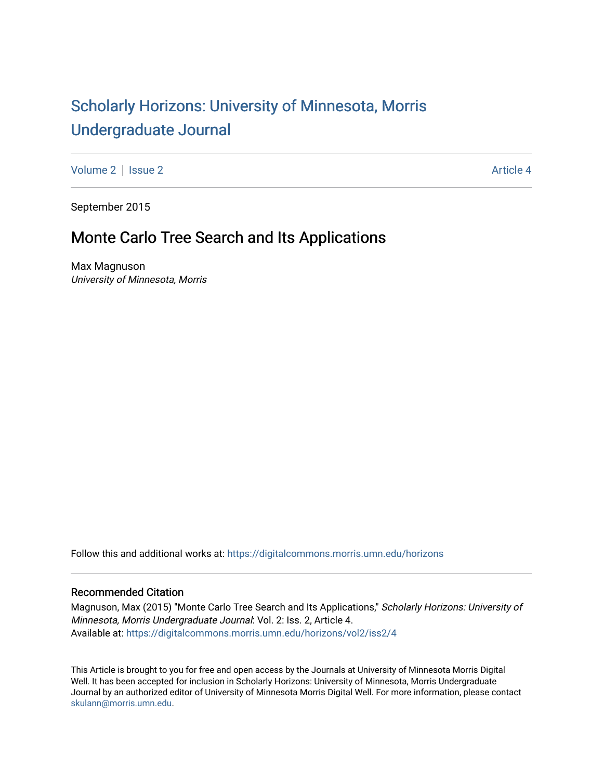# [Scholarly Horizons: University of Minnesota, Morris](https://digitalcommons.morris.umn.edu/horizons) [Undergraduate Journal](https://digitalcommons.morris.umn.edu/horizons)

[Volume 2](https://digitalcommons.morris.umn.edu/horizons/vol2) | [Issue 2](https://digitalcommons.morris.umn.edu/horizons/vol2/iss2) Article 4

September 2015

## Monte Carlo Tree Search and Its Applications

Max Magnuson University of Minnesota, Morris

Follow this and additional works at: [https://digitalcommons.morris.umn.edu/horizons](https://digitalcommons.morris.umn.edu/horizons?utm_source=digitalcommons.morris.umn.edu%2Fhorizons%2Fvol2%2Fiss2%2F4&utm_medium=PDF&utm_campaign=PDFCoverPages) 

## Recommended Citation

Magnuson, Max (2015) "Monte Carlo Tree Search and Its Applications," Scholarly Horizons: University of Minnesota, Morris Undergraduate Journal: Vol. 2: Iss. 2, Article 4. Available at: [https://digitalcommons.morris.umn.edu/horizons/vol2/iss2/4](https://digitalcommons.morris.umn.edu/horizons/vol2/iss2/4?utm_source=digitalcommons.morris.umn.edu%2Fhorizons%2Fvol2%2Fiss2%2F4&utm_medium=PDF&utm_campaign=PDFCoverPages) 

This Article is brought to you for free and open access by the Journals at University of Minnesota Morris Digital Well. It has been accepted for inclusion in Scholarly Horizons: University of Minnesota, Morris Undergraduate Journal by an authorized editor of University of Minnesota Morris Digital Well. For more information, please contact [skulann@morris.umn.edu.](mailto:skulann@morris.umn.edu)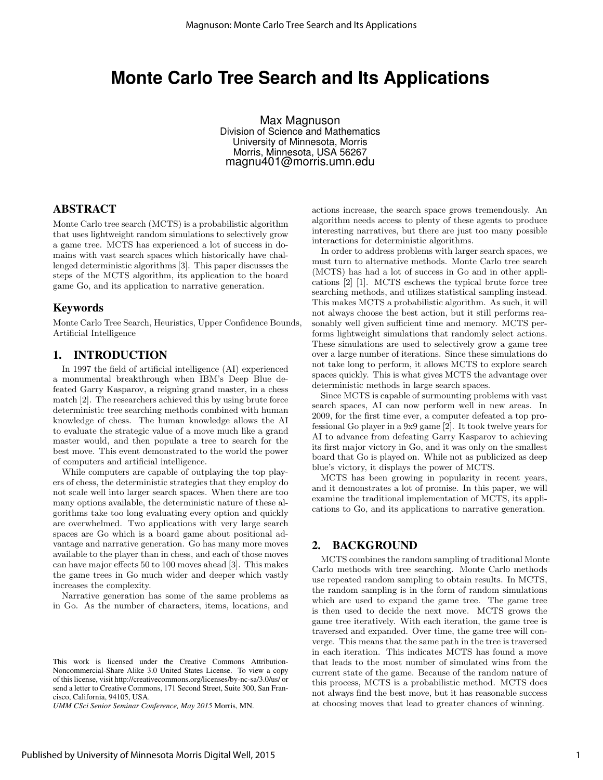## **Monte Carlo Tree Search and Its Applications**

Max Magnuson Division of Science and Mathematics University of Minnesota, Morris Morris, Minnesota, USA 56267 magnu401@morris.umn.edu

## ABSTRACT

Monte Carlo tree search (MCTS) is a probabilistic algorithm that uses lightweight random simulations to selectively grow a game tree. MCTS has experienced a lot of success in domains with vast search spaces which historically have challenged deterministic algorithms [3]. This paper discusses the steps of the MCTS algorithm, its application to the board game Go, and its application to narrative generation.

## Keywords

Monte Carlo Tree Search, Heuristics, Upper Confidence Bounds, Artificial Intelligence

#### 1. INTRODUCTION

In 1997 the field of artificial intelligence (AI) experienced a monumental breakthrough when IBM's Deep Blue defeated Garry Kasparov, a reigning grand master, in a chess match [2]. The researchers achieved this by using brute force deterministic tree searching methods combined with human knowledge of chess. The human knowledge allows the AI to evaluate the strategic value of a move much like a grand master would, and then populate a tree to search for the best move. This event demonstrated to the world the power of computers and artificial intelligence.

While computers are capable of outplaying the top players of chess, the deterministic strategies that they employ do not scale well into larger search spaces. When there are too many options available, the deterministic nature of these algorithms take too long evaluating every option and quickly are overwhelmed. Two applications with very large search spaces are Go which is a board game about positional advantage and narrative generation. Go has many more moves available to the player than in chess, and each of those moves can have major effects 50 to 100 moves ahead [3]. This makes the game trees in Go much wider and deeper which vastly increases the complexity.

Narrative generation has some of the same problems as in Go. As the number of characters, items, locations, and

*UMM CSci Senior Seminar Conference, May 2015* Morris, MN.

actions increase, the search space grows tremendously. An algorithm needs access to plenty of these agents to produce interesting narratives, but there are just too many possible interactions for deterministic algorithms.

In order to address problems with larger search spaces, we must turn to alternative methods. Monte Carlo tree search (MCTS) has had a lot of success in Go and in other applications [2] [1]. MCTS eschews the typical brute force tree searching methods, and utilizes statistical sampling instead. This makes MCTS a probabilistic algorithm. As such, it will not always choose the best action, but it still performs reasonably well given sufficient time and memory. MCTS performs lightweight simulations that randomly select actions. These simulations are used to selectively grow a game tree over a large number of iterations. Since these simulations do not take long to perform, it allows MCTS to explore search spaces quickly. This is what gives MCTS the advantage over deterministic methods in large search spaces.

Since MCTS is capable of surmounting problems with vast search spaces, AI can now perform well in new areas. In 2009, for the first time ever, a computer defeated a top professional Go player in a 9x9 game [2]. It took twelve years for AI to advance from defeating Garry Kasparov to achieving its first major victory in Go, and it was only on the smallest board that Go is played on. While not as publicized as deep blue's victory, it displays the power of MCTS.

MCTS has been growing in popularity in recent years, and it demonstrates a lot of promise. In this paper, we will examine the traditional implementation of MCTS, its applications to Go, and its applications to narrative generation.

#### 2. BACKGROUND

MCTS combines the random sampling of traditional Monte Carlo methods with tree searching. Monte Carlo methods use repeated random sampling to obtain results. In MCTS, the random sampling is in the form of random simulations which are used to expand the game tree. The game tree is then used to decide the next move. MCTS grows the game tree iteratively. With each iteration, the game tree is traversed and expanded. Over time, the game tree will converge. This means that the same path in the tree is traversed in each iteration. This indicates MCTS has found a move that leads to the most number of simulated wins from the current state of the game. Because of the random nature of this process, MCTS is a probabilistic method. MCTS does not always find the best move, but it has reasonable success at choosing moves that lead to greater chances of winning.

This work is licensed under the Creative Commons Attribution-Noncommercial-Share Alike 3.0 United States License. To view a copy of this license, visit http://creativecommons.org/licenses/by-nc-sa/3.0/us/ or send a letter to Creative Commons, 171 Second Street, Suite 300, San Francisco, California, 94105, USA.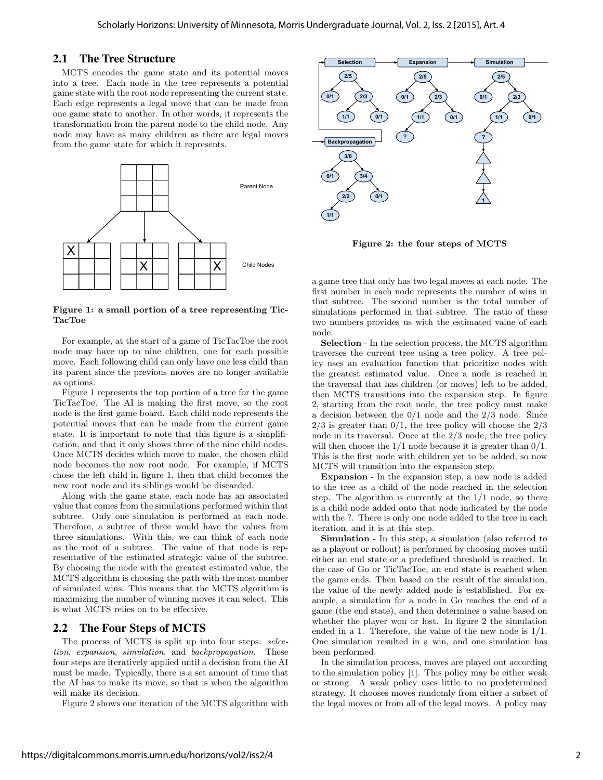#### 2.1 The Tree Structure

MCTS encodes the game state and its potential moves into a tree. Each node in the tree represents a potential game state with the root node representing the current state. Each edge represents a legal move that can be made from one game state to another. In other words, it represents the transformation from the parent node to the child node. Any node may have as many children as there are legal moves from the game state for which it represents.



Figure 1: a small portion of a tree representing Tic-TacToe

For example, at the start of a game of TicTacToe the root node may have up to nine children, one for each possible move. Each following child can only have one less child than its parent since the previous moves are no longer available as options.

Figure 1 represents the top portion of a tree for the game TicTacToe. The AI is making the first move, so the root node is the first game board. Each child node represents the potential moves that can be made from the current game state. It is important to note that this figure is a simplification, and that it only shows three of the nine child nodes. Once MCTS decides which move to make, the chosen child node becomes the new root node. For example, if MCTS chose the left child in figure 1, then that child becomes the new root node and its siblings would be discarded.

Along with the game state, each node has an associated value that comes from the simulations performed within that subtree. Only one simulation is performed at each node. Therefore, a subtree of three would have the values from three simulations. With this, we can think of each node as the root of a subtree. The value of that node is representative of the estimated strategic value of the subtree. By choosing the node with the greatest estimated value, the MCTS algorithm is choosing the path with the most number of simulated wins. This means that the MCTS algorithm is maximizing the number of winning moves it can select. This is what MCTS relies on to be effective.

## 2.2 The Four Steps of MCTS

The process of MCTS is split up into four steps: selection, expansion, simulation, and backpropagation. These four steps are iteratively applied until a decision from the AI must be made. Typically, there is a set amount of time that the AI has to make its move, so that is when the algorithm will make its decision.

Figure 2 shows one iteration of the MCTS algorithm with



Figure 2: the four steps of MCTS

a game tree that only has two legal moves at each node. The first number in each node represents the number of wins in that subtree. The second number is the total number of simulations performed in that subtree. The ratio of these two numbers provides us with the estimated value of each node.

Selection - In the selection process, the MCTS algorithm traverses the current tree using a tree policy. A tree policy uses an evaluation function that prioritize nodes with the greatest estimated value. Once a node is reached in the traversal that has children (or moves) left to be added, then MCTS transitions into the expansion step. In figure 2, starting from the root node, the tree policy must make a decision between the  $0/1$  node and the  $2/3$  node. Since  $2/3$  is greater than  $0/1$ , the tree policy will choose the  $2/3$ node in its traversal. Once at the 2/3 node, the tree policy will then choose the  $1/1$  node because it is greater than  $0/1$ . This is the first node with children yet to be added, so now MCTS will transition into the expansion step.

Expansion - In the expansion step, a new node is added to the tree as a child of the node reached in the selection step. The algorithm is currently at the 1/1 node, so there is a child node added onto that node indicated by the node with the ?. There is only one node added to the tree in each iteration, and it is at this step.

Simulation - In this step, a simulation (also referred to as a playout or rollout) is performed by choosing moves until either an end state or a predefined threshold is reached. In the case of Go or TicTacToe, an end state is reached when the game ends. Then based on the result of the simulation, the value of the newly added node is established. For example, a simulation for a node in Go reaches the end of a game (the end state), and then determines a value based on whether the player won or lost. In figure 2 the simulation ended in a 1. Therefore, the value of the new node is 1/1. One simulation resulted in a win, and one simulation has been performed.

In the simulation process, moves are played out according to the simulation policy [1]. This policy may be either weak or strong. A weak policy uses little to no predetermined strategy. It chooses moves randomly from either a subset of the legal moves or from all of the legal moves. A policy may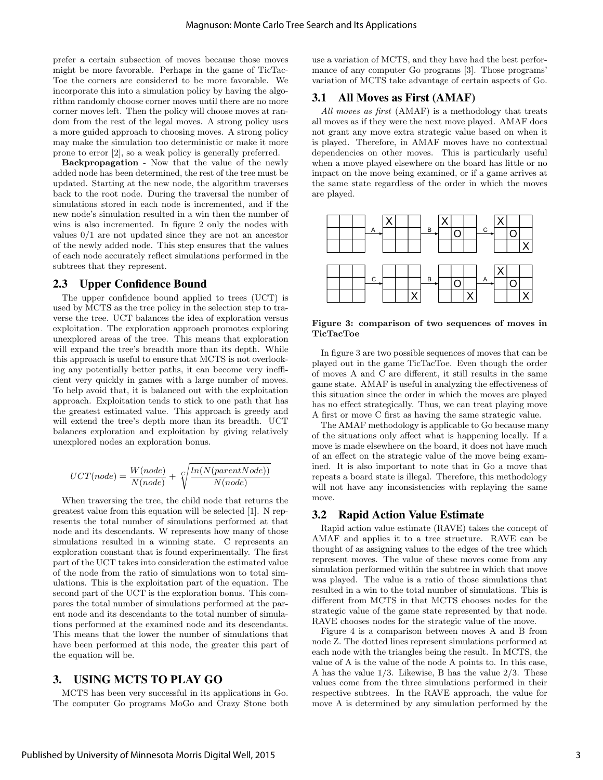prefer a certain subsection of moves because those moves might be more favorable. Perhaps in the game of TicTac-Toe the corners are considered to be more favorable. We incorporate this into a simulation policy by having the algorithm randomly choose corner moves until there are no more corner moves left. Then the policy will choose moves at random from the rest of the legal moves. A strong policy uses a more guided approach to choosing moves. A strong policy may make the simulation too deterministic or make it more prone to error [2], so a weak policy is generally preferred.

Backpropagation - Now that the value of the newly added node has been determined, the rest of the tree must be updated. Starting at the new node, the algorithm traverses back to the root node. During the traversal the number of simulations stored in each node is incremented, and if the new node's simulation resulted in a win then the number of wins is also incremented. In figure 2 only the nodes with values 0/1 are not updated since they are not an ancestor of the newly added node. This step ensures that the values of each node accurately reflect simulations performed in the subtrees that they represent.

#### 2.3 Upper Confidence Bound

The upper confidence bound applied to trees (UCT) is used by MCTS as the tree policy in the selection step to traverse the tree. UCT balances the idea of exploration versus exploitation. The exploration approach promotes exploring unexplored areas of the tree. This means that exploration will expand the tree's breadth more than its depth. While this approach is useful to ensure that MCTS is not overlooking any potentially better paths, it can become very inefficient very quickly in games with a large number of moves. To help avoid that, it is balanced out with the exploitation approach. Exploitation tends to stick to one path that has the greatest estimated value. This approach is greedy and will extend the tree's depth more than its breadth. UCT balances exploration and exploitation by giving relatively unexplored nodes an exploration bonus.

$$
UCT(node) = \frac{W(node)}{N(node)} + \sqrt{ln(N(parentNode))}
$$

When traversing the tree, the child node that returns the greatest value from this equation will be selected [1]. N represents the total number of simulations performed at that node and its descendants. W represents how many of those simulations resulted in a winning state. C represents an exploration constant that is found experimentally. The first part of the UCT takes into consideration the estimated value of the node from the ratio of simulations won to total simulations. This is the exploitation part of the equation. The second part of the UCT is the exploration bonus. This compares the total number of simulations performed at the parent node and its descendants to the total number of simulations performed at the examined node and its descendants. This means that the lower the number of simulations that have been performed at this node, the greater this part of the equation will be.

#### 3. USING MCTS TO PLAY GO

MCTS has been very successful in its applications in Go. The computer Go programs MoGo and Crazy Stone both use a variation of MCTS, and they have had the best performance of any computer Go programs [3]. Those programs' variation of MCTS take advantage of certain aspects of Go.

## 3.1 All Moves as First (AMAF)

All moves as first (AMAF) is a methodology that treats all moves as if they were the next move played. AMAF does not grant any move extra strategic value based on when it is played. Therefore, in AMAF moves have no contextual dependencies on other moves. This is particularly useful when a move played elsewhere on the board has little or no impact on the move being examined, or if a game arrives at the same state regardless of the order in which the moves are played.



Figure 3: comparison of two sequences of moves in TicTacToe

In figure 3 are two possible sequences of moves that can be played out in the game TicTacToe. Even though the order of moves A and C are different, it still results in the same game state. AMAF is useful in analyzing the effectiveness of this situation since the order in which the moves are played has no effect strategically. Thus, we can treat playing move A first or move C first as having the same strategic value.

The AMAF methodology is applicable to Go because many of the situations only affect what is happening locally. If a move is made elsewhere on the board, it does not have much of an effect on the strategic value of the move being examined. It is also important to note that in Go a move that repeats a board state is illegal. Therefore, this methodology will not have any inconsistencies with replaying the same move.

## 3.2 Rapid Action Value Estimate

Rapid action value estimate (RAVE) takes the concept of AMAF and applies it to a tree structure. RAVE can be thought of as assigning values to the edges of the tree which represent moves. The value of these moves come from any simulation performed within the subtree in which that move was played. The value is a ratio of those simulations that resulted in a win to the total number of simulations. This is different from MCTS in that MCTS chooses nodes for the strategic value of the game state represented by that node. RAVE chooses nodes for the strategic value of the move.

Figure 4 is a comparison between moves A and B from node Z. The dotted lines represent simulations performed at each node with the triangles being the result. In MCTS, the value of A is the value of the node A points to. In this case, A has the value 1/3. Likewise, B has the value 2/3. These values come from the three simulations performed in their respective subtrees. In the RAVE approach, the value for move A is determined by any simulation performed by the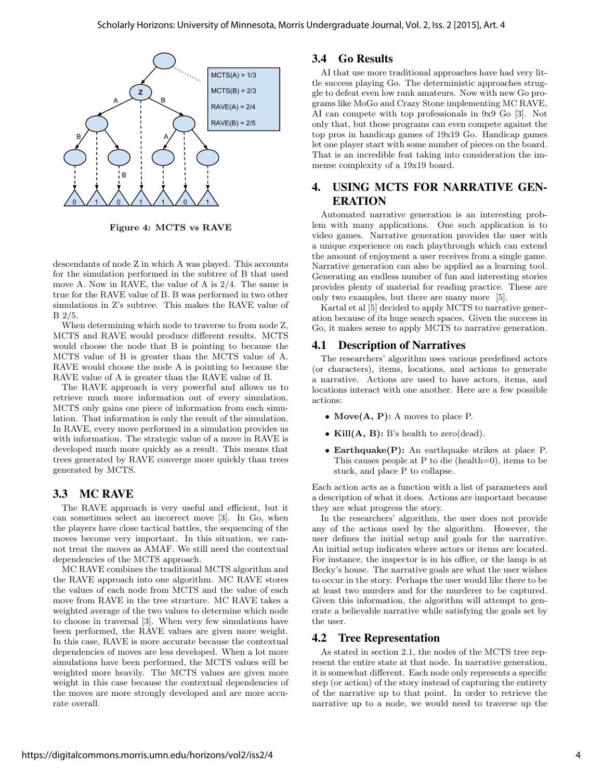

Figure 4: MCTS vs RAVE

descendants of node Z in which A was played. This accounts for the simulation performed in the subtree of B that used move A. Now in RAVE, the value of A is 2/4. The same is true for the RAVE value of B. B was performed in two other simulations in Z's subtree. This makes the RAVE value of B 2/5.

When determining which node to traverse to from node Z, MCTS and RAVE would produce different results. MCTS would choose the node that B is pointing to because the MCTS value of B is greater than the MCTS value of A. RAVE would choose the node A is pointing to because the RAVE value of A is greater than the RAVE value of B.

The RAVE approach is very powerful and allows us to retrieve much more information out of every simulation. MCTS only gains one piece of information from each simulation. That information is only the result of the simulation. In RAVE, every move performed in a simulation provides us with information. The strategic value of a move in RAVE is developed much more quickly as a result. This means that trees generated by RAVE converge more quickly than trees generated by MCTS.

## 3.3 MC RAVE

The RAVE approach is very useful and efficient, but it can sometimes select an incorrect move [3]. In Go, when the players have close tactical battles, the sequencing of the moves become very important. In this situation, we cannot treat the moves as AMAF. We still need the contextual dependencies of the MCTS approach.

MC RAVE combines the traditional MCTS algorithm and the RAVE approach into one algorithm. MC RAVE stores the values of each node from MCTS and the value of each move from RAVE in the tree structure. MC RAVE takes a weighted average of the two values to determine which node to choose in traversal [3]. When very few simulations have been performed, the RAVE values are given more weight. In this case, RAVE is more accurate because the contextual dependencies of moves are less developed. When a lot more simulations have been performed, the MCTS values will be weighted more heavily. The MCTS values are given more weight in this case because the contextual dependencies of the moves are more strongly developed and are more accurate overall.

## 3.4 Go Results

AI that use more traditional approaches have had very little success playing Go. The deterministic approaches struggle to defeat even low rank amateurs. Now with new Go programs like MoGo and Crazy Stone implementing MC RAVE, AI can compete with top professionals in 9x9 Go [3]. Not only that, but those programs can even compete against the top pros in handicap games of 19x19 Go. Handicap games let one player start with some number of pieces on the board. That is an incredible feat taking into consideration the immense complexity of a 19x19 board.

## 4. USING MCTS FOR NARRATIVE GEN-ERATION

Automated narrative generation is an interesting problem with many applications. One such application is to video games. Narrative generation provides the user with a unique experience on each playthrough which can extend the amount of enjoyment a user receives from a single game. Narrative generation can also be applied as a learning tool. Generating an endless number of fun and interesting stories provides plenty of material for reading practice. These are only two examples, but there are many more [5].

Kartal et al [5] decided to apply MCTS to narrative generation because of its huge search spaces. Given the success in Go, it makes sense to apply MCTS to narrative generation.

## 4.1 Description of Narratives

The researchers' algorithm uses various predefined actors (or characters), items, locations, and actions to generate a narrative. Actions are used to have actors, items, and locations interact with one another. Here are a few possible actions:

- Move $(A, P)$ : A moves to place P.
- Kill $(A, B)$ : B's health to zero(dead).
- Earthquake(P): An earthquake strikes at place P. This causes people at P to die (health=0), items to be stuck, and place P to collapse.

Each action acts as a function with a list of parameters and a description of what it does. Actions are important because they are what progress the story.

In the researchers' algorithm, the user does not provide any of the actions used by the algorithm. However, the user defines the initial setup and goals for the narrative. An initial setup indicates where actors or items are located. For instance, the inspector is in his office, or the lamp is at Becky's house. The narrative goals are what the user wishes to occur in the story. Perhaps the user would like there to be at least two murders and for the murderer to be captured. Given this information, the algorithm will attempt to generate a believable narrative while satisfying the goals set by the user.

## 4.2 Tree Representation

As stated in section 2.1, the nodes of the MCTS tree represent the entire state at that node. In narrative generation, it is somewhat different. Each node only represents a specific step (or action) of the story instead of capturing the entirety of the narrative up to that point. In order to retrieve the narrative up to a node, we would need to traverse up the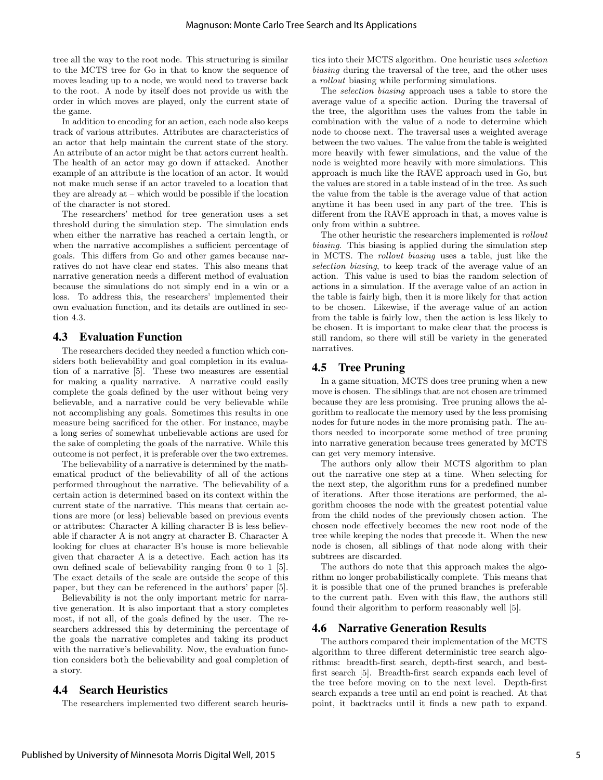tree all the way to the root node. This structuring is similar to the MCTS tree for Go in that to know the sequence of moves leading up to a node, we would need to traverse back to the root. A node by itself does not provide us with the order in which moves are played, only the current state of the game.

In addition to encoding for an action, each node also keeps track of various attributes. Attributes are characteristics of an actor that help maintain the current state of the story. An attribute of an actor might be that actors current health. The health of an actor may go down if attacked. Another example of an attribute is the location of an actor. It would not make much sense if an actor traveled to a location that they are already at – which would be possible if the location of the character is not stored.

The researchers' method for tree generation uses a set threshold during the simulation step. The simulation ends when either the narrative has reached a certain length, or when the narrative accomplishes a sufficient percentage of goals. This differs from Go and other games because narratives do not have clear end states. This also means that narrative generation needs a different method of evaluation because the simulations do not simply end in a win or a loss. To address this, the researchers' implemented their own evaluation function, and its details are outlined in section 4.3.

## 4.3 Evaluation Function

The researchers decided they needed a function which considers both believability and goal completion in its evaluation of a narrative [5]. These two measures are essential for making a quality narrative. A narrative could easily complete the goals defined by the user without being very believable, and a narrative could be very believable while not accomplishing any goals. Sometimes this results in one measure being sacrificed for the other. For instance, maybe a long series of somewhat unbelievable actions are used for the sake of completing the goals of the narrative. While this outcome is not perfect, it is preferable over the two extremes.

The believability of a narrative is determined by the mathematical product of the believability of all of the actions performed throughout the narrative. The believability of a certain action is determined based on its context within the current state of the narrative. This means that certain actions are more (or less) believable based on previous events or attributes: Character A killing character B is less believable if character A is not angry at character B. Character A looking for clues at character B's house is more believable given that character A is a detective. Each action has its own defined scale of believability ranging from 0 to 1 [5]. The exact details of the scale are outside the scope of this paper, but they can be referenced in the authors' paper [5].

Believability is not the only important metric for narrative generation. It is also important that a story completes most, if not all, of the goals defined by the user. The researchers addressed this by determining the percentage of the goals the narrative completes and taking its product with the narrative's believability. Now, the evaluation function considers both the believability and goal completion of a story.

## 4.4 Search Heuristics

The researchers implemented two different search heuris-

tics into their MCTS algorithm. One heuristic uses selection biasing during the traversal of the tree, and the other uses a rollout biasing while performing simulations.

The selection biasing approach uses a table to store the average value of a specific action. During the traversal of the tree, the algorithm uses the values from the table in combination with the value of a node to determine which node to choose next. The traversal uses a weighted average between the two values. The value from the table is weighted more heavily with fewer simulations, and the value of the node is weighted more heavily with more simulations. This approach is much like the RAVE approach used in Go, but the values are stored in a table instead of in the tree. As such the value from the table is the average value of that action anytime it has been used in any part of the tree. This is different from the RAVE approach in that, a moves value is only from within a subtree.

The other heuristic the researchers implemented is rollout biasing. This biasing is applied during the simulation step in MCTS. The rollout biasing uses a table, just like the selection biasing, to keep track of the average value of an action. This value is used to bias the random selection of actions in a simulation. If the average value of an action in the table is fairly high, then it is more likely for that action to be chosen. Likewise, if the average value of an action from the table is fairly low, then the action is less likely to be chosen. It is important to make clear that the process is still random, so there will still be variety in the generated narratives.

## 4.5 Tree Pruning

In a game situation, MCTS does tree pruning when a new move is chosen. The siblings that are not chosen are trimmed because they are less promising. Tree pruning allows the algorithm to reallocate the memory used by the less promising nodes for future nodes in the more promising path. The authors needed to incorporate some method of tree pruning into narrative generation because trees generated by MCTS can get very memory intensive.

The authors only allow their MCTS algorithm to plan out the narrative one step at a time. When selecting for the next step, the algorithm runs for a predefined number of iterations. After those iterations are performed, the algorithm chooses the node with the greatest potential value from the child nodes of the previously chosen action. The chosen node effectively becomes the new root node of the tree while keeping the nodes that precede it. When the new node is chosen, all siblings of that node along with their subtrees are discarded.

The authors do note that this approach makes the algorithm no longer probabilistically complete. This means that it is possible that one of the pruned branches is preferable to the current path. Even with this flaw, the authors still found their algorithm to perform reasonably well [5].

#### 4.6 Narrative Generation Results

The authors compared their implementation of the MCTS algorithm to three different deterministic tree search algorithms: breadth-first search, depth-first search, and bestfirst search [5]. Breadth-first search expands each level of the tree before moving on to the next level. Depth-first search expands a tree until an end point is reached. At that point, it backtracks until it finds a new path to expand.